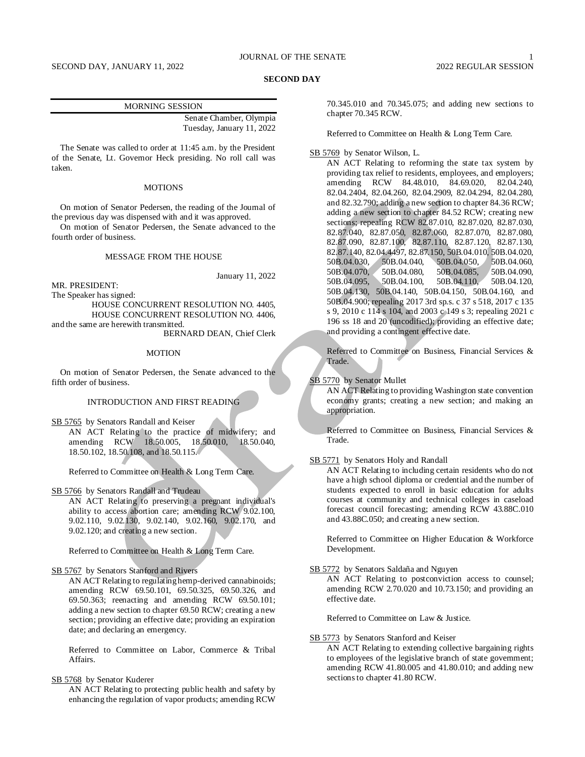#### **SECOND DAY**

Senate Chamber, Olympia Tuesday, January 11, 2022

The Senate was called to order at 11:45 a.m. by the President of the Senate, Lt. Governor Heck presiding. No roll call was taken.

# **MOTIONS**

On motion of Senator Pedersen, the reading of the Journal of the previous day was dispensed with and it was approved.

On motion of Senator Pedersen, the Senate advanced to the fourth order of business.

# MESSAGE FROM THE HOUSE

January 11, 2022

MR. PRESIDENT:

The Speaker has signed: HOUSE CONCURRENT RESOLUTION NO. 4405, HOUSE CONCURRENT RESOLUTION NO. 4406,

and the same are herewith transmitted. BERNARD DEAN, Chief Clerk

#### MOTION

On motion of Senator Pedersen, the Senate advanced to the fifth order of business.

# INTRODUCTION AND FIRST READING

SB 5765 by Senators Randall and Keiser

AN ACT Relating to the practice of midwifery; and amending RCW 18.50.005, 18.50.010, 18.50.040, 18.50.102, 18.50.108, and 18.50.115.

Referred to Committee on Health & Long Term Care.

SB 5766 by Senators Randall and Trudeau

AN ACT Relating to preserving a pregnant individual's ability to access abortion care; amending RCW 9.02.100, 9.02.110, 9.02.130, 9.02.140, 9.02.160, 9.02.170, and 9.02.120; and creating a new section.

Referred to Committee on Health & Long Term Care.

## SB 5767 by Senators Stanford and Rivers

AN ACT Relating to regulating hemp-derived cannabinoids; amending RCW 69.50.101, 69.50.325, 69.50.326, and 69.50.363; reenacting and amending RCW 69.50.101; adding a new section to chapter 69.50 RCW; creating a new section; providing an effective date; providing an expiration date; and declaring an emergency.

Referred to Committee on Labor, Commerce & Tribal Affairs.

# SB 5768 by Senator Kuderer

AN ACT Relating to protecting public health and safety by enhancing the regulation of vapor products; amending RCW 70.345.010 and 70.345.075; and adding new sections to chapter 70.345 RCW.

Referred to Committee on Health & Long Term Care.

## SB 5769 by Senator Wilson, L.

AN ACT Relating to reforming the state tax system by providing tax relief to residents, employees, and employers; amending RCW 84.48.010, 84.69.020, 82.04.240, 82.04.2404, 82.04.260, 82.04.2909, 82.04.294, 82.04.280, and 82.32.790; adding a new section to chapter 84.36 RCW; adding a new section to chapter 84.52 RCW; creating new sections; repealing RCW 82.87.010, 82.87.020, 82.87.030, 82.87.040, 82.87.050, 82.87.060, 82.87.070, 82.87.080, 82.87.090, 82.87.100, 82.87.110, 82.87.120, 82.87.130, 82.87.140, 82.04.4497, 82.87.150, 50B.04.010, 50B.04.020, 50B.04.030, 50B.04.040, 50B.04.050, 50B.04.060, 50B.04.070, 50B.04.080, 50B.04.085, 50B.04.090, 50B.04.095, 50B.04.100, 50B.04.110, 50B.04.120, 50B.04.130, 50B.04.140, 50B.04.150, 50B.04.160, and 50B.04.900; repealing 2017 3rd sp.s. c 37 s 518, 2017 c 135 s 9, 2010 c 114 s 104, and 2003 c 149 s 3; repealing 2021 c 196 ss 18 and 20 (uncodified); providing an effective date; and providing a contingent effective date.

Referred to Committee on Business, Financial Services & Trade.

#### SB 5770 by Senator Mullet

AN ACT Relating to providing Washington state convention economy grants; creating a new section; and making an appropriation.

Referred to Committee on Business, Financial Services & Trade.

#### SB 5771 by Senators Holy and Randall

AN ACT Relating to including certain residents who do not have a high school diploma or credential and the number of students expected to enroll in basic education for adults courses at community and technical colleges in caseload forecast council forecasting; amending RCW 43.88C.010 and 43.88C.050; and creating a new section.

Referred to Committee on Higher Education & Workforce Development.

## SB 5772 by Senators Saldaña and Nguyen

AN ACT Relating to postconviction access to counsel; amending RCW 2.70.020 and 10.73.150; and providing an effective date.

Referred to Committee on Law & Justice.

## SB 5773 by Senators Stanford and Keiser

AN ACT Relating to extending collective bargaining rights to employees of the legislative branch of state government; amending RCW 41.80.005 and 41.80.010; and adding new sections to chapter 41.80 RCW.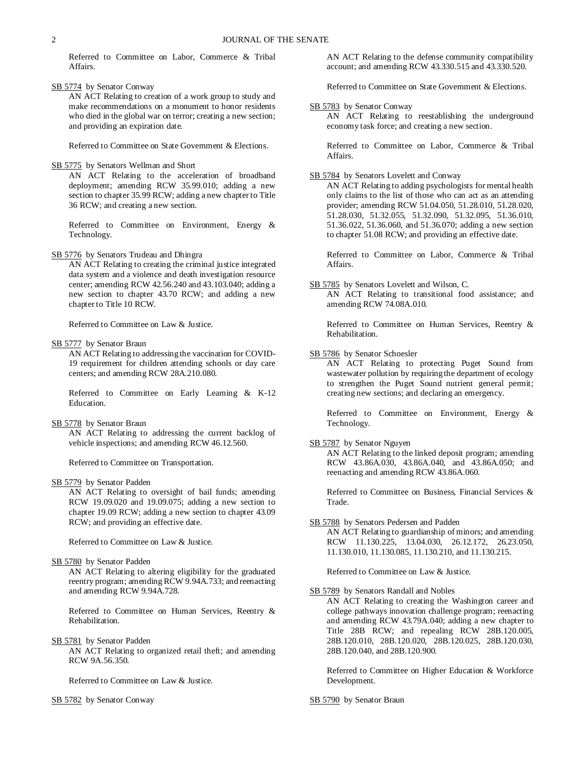Referred to Committee on Labor, Commerce & Tribal Affairs.

SB 5774 by Senator Conway

AN ACT Relating to creation of a work group to study and make recommendations on a monument to honor residents who died in the global war on terror; creating a new section; and providing an expiration date.

Referred to Committee on State Government & Elections.

SB 5775 by Senators Wellman and Short

AN ACT Relating to the acceleration of broadband deployment; amending RCW 35.99.010; adding a new section to chapter 35.99 RCW; adding a new chapter to Title 36 RCW; and creating a new section.

Referred to Committee on Environment, Energy & Technology.

SB 5776 by Senators Trudeau and Dhingra

AN ACT Relating to creating the criminal justice integrated data system and a violence and death investigation resource center; amending RCW 42.56.240 and 43.103.040; adding a new section to chapter 43.70 RCW; and adding a new chapter to Title 10 RCW.

Referred to Committee on Law & Justice.

SB 5777 by Senator Braun

AN ACT Relating to addressing the vaccination for COVID-19 requirement for children attending schools or day care centers; and amending RCW 28A.210.080.

Referred to Committee on Early Learning & K-12 Education.

#### SB 5778 by Senator Braun

AN ACT Relating to addressing the current backlog of vehicle inspections; and amending RCW 46.12.560.

Referred to Committee on Transportation.

SB 5779 by Senator Padden

AN ACT Relating to oversight of bail funds; amending RCW 19.09.020 and 19.09.075; adding a new section to chapter 19.09 RCW; adding a new section to chapter 43.09 RCW; and providing an effective date.

Referred to Committee on Law & Justice.

# SB 5780 by Senator Padden

AN ACT Relating to altering eligibility for the graduated reentry program; amending RCW 9.94A.733; and reenacting and amending RCW 9.94A.728.

Referred to Committee on Human Services, Reentry & Rehabilitation.

SB 5781 by Senator Padden

AN ACT Relating to organized retail theft; and amending RCW 9A.56.350.

Referred to Committee on Law & Justice.

SB 5782 by Senator Conway

AN ACT Relating to the defense community compatibility account; and amending RCW 43.330.515 and 43.330.520.

Referred to Committee on State Government & Elections.

SB 5783 by Senator Conway

AN ACT Relating to reestablishing the underground economy task force; and creating a new section.

Referred to Committee on Labor, Commerce & Tribal Affairs.

# SB 5784 by Senators Lovelett and Conway

AN ACT Relating to adding psychologists for mental health only claims to the list of those who can act as an attending provider; amending RCW 51.04.050, 51.28.010, 51.28.020, 51.28.030, 51.32.055, 51.32.090, 51.32.095, 51.36.010, 51.36.022, 51.36.060, and 51.36.070; adding a new section to chapter 51.08 RCW; and providing an effective date.

Referred to Committee on Labor, Commerce & Tribal Affairs.

SB 5785 by Senators Lovelett and Wilson, C.

AN ACT Relating to transitional food assistance; and amending RCW 74.08A.010.

Referred to Committee on Human Services, Reentry & Rehabilitation.

SB 5786 by Senator Schoesler

AN ACT Relating to protecting Puget Sound from wastewater pollution by requiring the department of ecology to strengthen the Puget Sound nutrient general permit; creating new sections; and declaring an emergency.

Referred to Committee on Environment, Energy & Technology.

# SB 5787 by Senator Nguyen

AN ACT Relating to the linked deposit program; amending RCW 43.86A.030, 43.86A.040, and 43.86A.050; and reenacting and amending RCW 43.86A.060.

Referred to Committee on Business, Financial Services & Trade.

# SB 5788 by Senators Pedersen and Padden

AN ACT Relating to guardianship of minors; and amending RCW 11.130.225, 13.04.030, 26.12.172, 26.23.050, 11.130.010, 11.130.085, 11.130.210, and 11.130.215.

Referred to Committee on Law & Justice.

SB 5789 by Senators Randall and Nobles

AN ACT Relating to creating the Washington career and college pathways innovation challenge program; reenacting and amending RCW 43.79A.040; adding a new chapter to Title 28B RCW; and repealing RCW 28B.120.005, 28B.120.010, 28B.120.020, 28B.120.025, 28B.120.030, 28B.120.040, and 28B.120.900.

Referred to Committee on Higher Education & Workforce Development.

SB 5790 by Senator Braun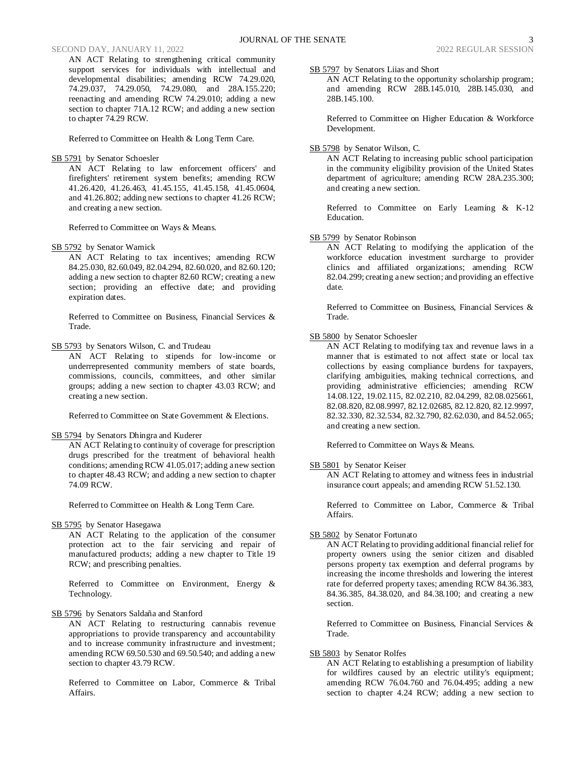# SECOND DAY, JANUARY 11, 2022 2022 REGULAR SESSION

AN ACT Relating to strengthening critical community support services for individuals with intellectual and developmental disabilities; amending RCW 74.29.020, 74.29.037, 74.29.050, 74.29.080, and 28A.155.220; reenacting and amending RCW 74.29.010; adding a new section to chapter 71A.12 RCW; and adding a new section to chapter 74.29 RCW.

Referred to Committee on Health & Long Term Care.

## SB 5791 by Senator Schoesler

AN ACT Relating to law enforcement officers' and firefighters' retirement system benefits; amending RCW 41.26.420, 41.26.463, 41.45.155, 41.45.158, 41.45.0604, and 41.26.802; adding new sections to chapter 41.26 RCW; and creating a new section.

Referred to Committee on Ways & Means.

#### SB 5792 by Senator Warnick

AN ACT Relating to tax incentives; amending RCW 84.25.030, 82.60.049, 82.04.294, 82.60.020, and 82.60.120; adding a new section to chapter 82.60 RCW; creating a new section; providing an effective date; and providing expiration dates.

Referred to Committee on Business, Financial Services & Trade.

SB 5793 by Senators Wilson, C. and Trudeau

AN ACT Relating to stipends for low-income or underrepresented community members of state boards, commissions, councils, committees, and other similar groups; adding a new section to chapter 43.03 RCW; and creating a new section.

Referred to Committee on State Government & Elections.

#### SB 5794 by Senators Dhingra and Kuderer

AN ACT Relating to continuity of coverage for prescription drugs prescribed for the treatment of behavioral health conditions; amending RCW 41.05.017; adding a new section to chapter 48.43 RCW; and adding a new section to chapter 74.09 RCW.

Referred to Committee on Health & Long Term Care.

SB 5795 by Senator Hasegawa

AN ACT Relating to the application of the consumer protection act to the fair servicing and repair of manufactured products; adding a new chapter to Title 19 RCW; and prescribing penalties.

Referred to Committee on Environment, Energy & Technology.

SB 5796 by Senators Saldaña and Stanford

AN ACT Relating to restructuring cannabis revenue appropriations to provide transparency and accountability and to increase community infrastructure and investment; amending RCW 69.50.530 and 69.50.540; and adding a new section to chapter 43.79 RCW.

Referred to Committee on Labor, Commerce & Tribal Affairs.

SB 5797 by Senators Liias and Short

AN ACT Relating to the opportunity scholarship program; and amending RCW 28B.145.010, 28B.145.030, and 28B.145.100.

Referred to Committee on Higher Education & Workforce Development.

# SB 5798 by Senator Wilson, C.

AN ACT Relating to increasing public school participation in the community eligibility provision of the United States department of agriculture; amending RCW 28A.235.300; and creating a new section.

Referred to Committee on Early Learning & K-12 Education.

# SB 5799 by Senator Robinson

AN ACT Relating to modifying the application of the workforce education investment surcharge to provider clinics and affiliated organizations; amending RCW 82.04.299; creating a new section; and providing an effective date.

Referred to Committee on Business, Financial Services & Trade.

# SB 5800 by Senator Schoesler

AN ACT Relating to modifying tax and revenue laws in a manner that is estimated to not affect state or local tax collections by easing compliance burdens for taxpayers, clarifying ambiguities, making technical corrections, and providing administrative efficiencies; amending RCW 14.08.122, 19.02.115, 82.02.210, 82.04.299, 82.08.025661, 82.08.820, 82.08.9997, 82.12.02685, 82.12.820, 82.12.9997, 82.32.330, 82.32.534, 82.32.790, 82.62.030, and 84.52.065; and creating a new section.

Referred to Committee on Ways & Means.

# SB 5801 by Senator Keiser

AN ACT Relating to attorney and witness fees in industrial insurance court appeals; and amending RCW 51.52.130.

Referred to Committee on Labor, Commerce & Tribal Affairs.

#### SB 5802 by Senator Fortunato

AN ACT Relating to providing additional financial relief for property owners using the senior citizen and disabled persons property tax exemption and deferral programs by increasing the income thresholds and lowering the interest rate for deferred property taxes; amending RCW 84.36.383, 84.36.385, 84.38.020, and 84.38.100; and creating a new section.

Referred to Committee on Business, Financial Services & Trade.

# SB 5803 by Senator Rolfes

AN ACT Relating to establishing a presumption of liability for wildfires caused by an electric utility's equipment; amending RCW 76.04.760 and 76.04.495; adding a new section to chapter 4.24 RCW; adding a new section to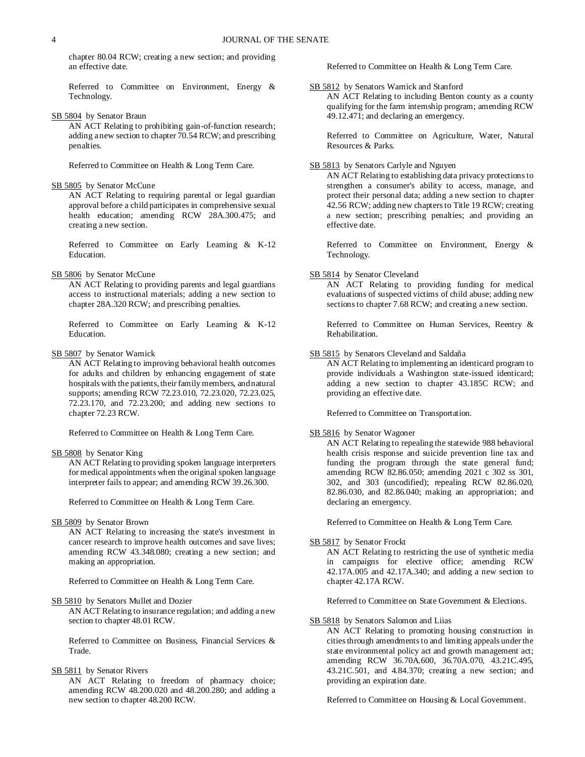chapter 80.04 RCW; creating a new section; and providing an effective date.

Referred to Committee on Environment, Energy & Technology.

SB 5804 by Senator Braun

AN ACT Relating to prohibiting gain-of-function research; adding a new section to chapter 70.54 RCW; and prescribing penalties.

Referred to Committee on Health & Long Term Care.

#### SB 5805 by Senator McCune

AN ACT Relating to requiring parental or legal guardian approval before a child participates in comprehensive sexual health education; amending RCW 28A.300.475; and creating a new section.

Referred to Committee on Early Learning & K-12 Education.

SB 5806 by Senator McCune

AN ACT Relating to providing parents and legal guardians access to instructional materials; adding a new section to chapter 28A.320 RCW; and prescribing penalties.

Referred to Committee on Early Learning & K-12 Education.

SB 5807 by Senator Warnick

AN ACT Relating to improving behavioral health outcomes for adults and children by enhancing engagement of state hospitals with the patients, their family members, and natural supports; amending RCW 72.23.010, 72.23.020, 72.23.025, 72.23.170, and 72.23.200; and adding new sections to chapter 72.23 RCW.

Referred to Committee on Health & Long Term Care.

SB 5808 by Senator King

AN ACT Relating to providing spoken language interpreters for medical appointments when the original spoken language interpreter fails to appear; and amending RCW 39.26.300.

Referred to Committee on Health & Long Term Care.

## SB 5809 by Senator Brown

AN ACT Relating to increasing the state's investment in cancer research to improve health outcomes and save lives; amending RCW 43.348.080; creating a new section; and making an appropriation.

Referred to Committee on Health & Long Term Care.

#### SB 5810 by Senators Mullet and Dozier

AN ACT Relating to insurance regulation; and adding a new section to chapter 48.01 RCW.

Referred to Committee on Business, Financial Services & Trade.

# SB 5811 by Senator Rivers

AN ACT Relating to freedom of pharmacy choice; amending RCW 48.200.020 and 48.200.280; and adding a new section to chapter 48.200 RCW.

Referred to Committee on Health & Long Term Care.

## SB 5812 by Senators Warnick and Stanford

AN ACT Relating to including Benton county as a county qualifying for the farm internship program; amending RCW 49.12.471; and declaring an emergency.

Referred to Committee on Agriculture, Water, Natural Resources & Parks.

## SB 5813 by Senators Carlyle and Nguyen

AN ACT Relating to establishing data privacy protections to strengthen a consumer's ability to access, manage, and protect their personal data; adding a new section to chapter 42.56 RCW; adding new chapters to Title 19 RCW; creating a new section; prescribing penalties; and providing an effective date.

Referred to Committee on Environment, Energy & Technology.

# SB 5814 by Senator Cleveland

AN ACT Relating to providing funding for medical evaluations of suspected victims of child abuse; adding new sections to chapter 7.68 RCW; and creating a new section.

Referred to Committee on Human Services, Reentry & Rehabilitation.

## SB 5815 by Senators Cleveland and Saldaña

AN ACT Relating to implementing an identicard program to provide individuals a Washington state-issued identicard; adding a new section to chapter 43.185C RCW; and providing an effective date.

Referred to Committee on Transportation.

# SB 5816 by Senator Wagoner

AN ACT Relating to repealing the statewide 988 behavioral health crisis response and suicide prevention line tax and funding the program through the state general fund; amending RCW 82.86.050; amending 2021 c 302 ss 301, 302, and 303 (uncodified); repealing RCW 82.86.020, 82.86.030, and 82.86.040; making an appropriation; and declaring an emergency.

Referred to Committee on Health & Long Term Care.

# SB 5817 by Senator Frockt

AN ACT Relating to restricting the use of synthetic media in campaigns for elective office; amending RCW 42.17A.005 and 42.17A.340; and adding a new section to chapter 42.17A RCW.

Referred to Committee on State Government & Elections.

#### SB 5818 by Senators Salomon and Liias

AN ACT Relating to promoting housing construction in cities through amendments to and limiting appeals under the state environmental policy act and growth management act; amending RCW 36.70A.600, 36.70A.070, 43.21C.495, 43.21C.501, and 4.84.370; creating a new section; and providing an expiration date.

Referred to Committee on Housing & Local Government.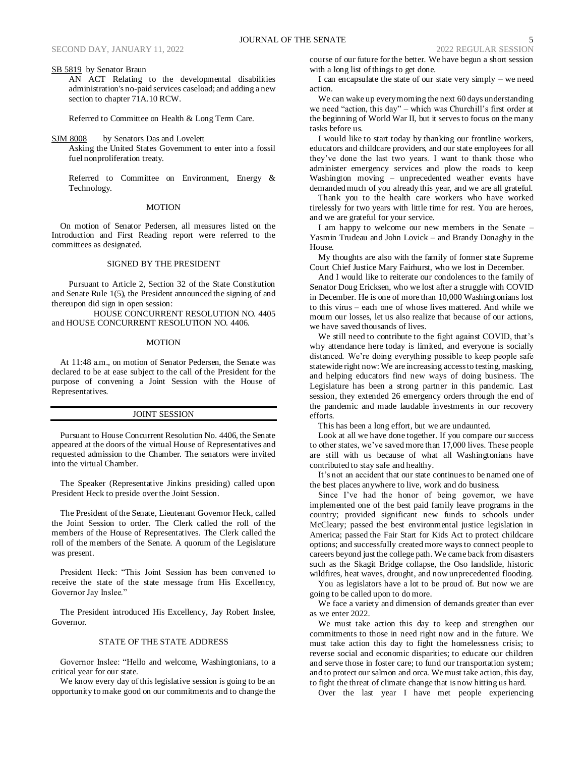SB 5819 by Senator Braun

AN ACT Relating to the developmental disabilities administration's no-paid services caseload; and adding a new section to chapter 71A.10 RCW.

Referred to Committee on Health & Long Term Care.

SJM 8008 by Senators Das and Lovelett Asking the United States Government to enter into a fossil fuel nonproliferation treaty.

Referred to Committee on Environment, Energy & Technology.

#### MOTION

On motion of Senator Pedersen, all measures listed on the Introduction and First Reading report were referred to the committees as designated.

# SIGNED BY THE PRESIDENT

Pursuant to Article 2, Section 32 of the State Constitution and Senate Rule 1(5), the President announced the signing of and thereupon did sign in open session:

HOUSE CONCURRENT RESOLUTION NO. 4405 and HOUSE CONCURRENT RESOLUTION NO. 4406.

#### MOTION

At 11:48 a.m., on motion of Senator Pedersen, the Senate was declared to be at ease subject to the call of the President for the purpose of convening a Joint Session with the House of Representatives.

## JOINT SESSION

Pursuant to House Concurrent Resolution No. 4406, the Senate appeared at the doors of the virtual House of Representatives and requested admission to the Chamber. The senators were invited into the virtual Chamber.

The Speaker (Representative Jinkins presiding) called upon President Heck to preside over the Joint Session.

The President of the Senate, Lieutenant Governor Heck, called the Joint Session to order. The Clerk called the roll of the members of the House of Representatives. The Clerk called the roll of the members of the Senate. A quorum of the Legislature was present.

President Heck: "This Joint Session has been convened to receive the state of the state message from His Excellency, Governor Jay Inslee."

The President introduced His Excellency, Jay Robert Inslee, Governor.

# STATE OF THE STATE ADDRESS

Governor Inslee: "Hello and welcome, Washingtonians, to a critical year for our state.

We know every day of this legislative session is going to be an opportunity to make good on our commitments and to change the course of our future for the better. We have begun a short session with a long list of things to get done.

I can encapsulate the state of our state very simply – we need action.

We can wake up every morning the next 60 days understanding we need "action, this day" – which was Churchill's first order at the beginning of World War II, but it serves to focus on the many tasks before us.

I would like to start today by thanking our frontline workers, educators and childcare providers, and our state employees for all they've done the last two years. I want to thank those who administer emergency services and plow the roads to keep Washington moving – unprecedented weather events have demanded much of you already this year, and we are all grateful.

Thank you to the health care workers who have worked tirelessly for two years with little time for rest. You are heroes, and we are grateful for your service.

I am happy to welcome our new members in the Senate – Yasmin Trudeau and John Lovick – and Brandy Donaghy in the House.

My thoughts are also with the family of former state Supreme Court Chief Justice Mary Fairhurst, who we lost in December.

And I would like to reiterate our condolences to the family of Senator Doug Ericksen, who we lost after a struggle with COVID in December. He is one of more than 10,000 Washingtonians lost to this virus – each one of whose lives mattered. And while we mourn our losses, let us also realize that because of our actions, we have saved thousands of lives.

We still need to contribute to the fight against COVID, that's why attendance here today is limited, and everyone is socially distanced. We're doing everything possible to keep people safe statewide right now: We are increasing access to testing, masking, and helping educators find new ways of doing business. The Legislature has been a strong partner in this pandemic. Last session, they extended 26 emergency orders through the end of the pandemic and made laudable investments in our recovery efforts.

This has been a long effort, but we are undaunted.

Look at all we have done together. If you compare our success to other states, we've saved more than 17,000 lives. These people are still with us because of what all Washingtonians have contributed to stay safe and healthy.

It's not an accident that our state continues to be named one of the best places anywhere to live, work and do business.

Since I've had the honor of being governor, we have implemented one of the best paid family leave programs in the country; provided significant new funds to schools under McCleary; passed the best environmental justice legislation in America; passed the Fair Start for Kids Act to protect childcare options; and successfully created more ways to connect people to careers beyond just the college path. We came back from disasters such as the Skagit Bridge collapse, the Oso landslide, historic wildfires, heat waves, drought, and now unprecedented flooding.

You as legislators have a lot to be proud of. But now we are going to be called upon to do more.

We face a variety and dimension of demands greater than ever as we enter 2022.

We must take action this day to keep and strengthen our commitments to those in need right now and in the future. We must take action this day to fight the homelessness crisis; to reverse social and economic disparities; to educate our children and serve those in foster care; to fund our transportation system; and to protect our salmon and orca. We must take action, this day, to fight the threat of climate change that is now hitting us hard.

Over the last year I have met people experiencing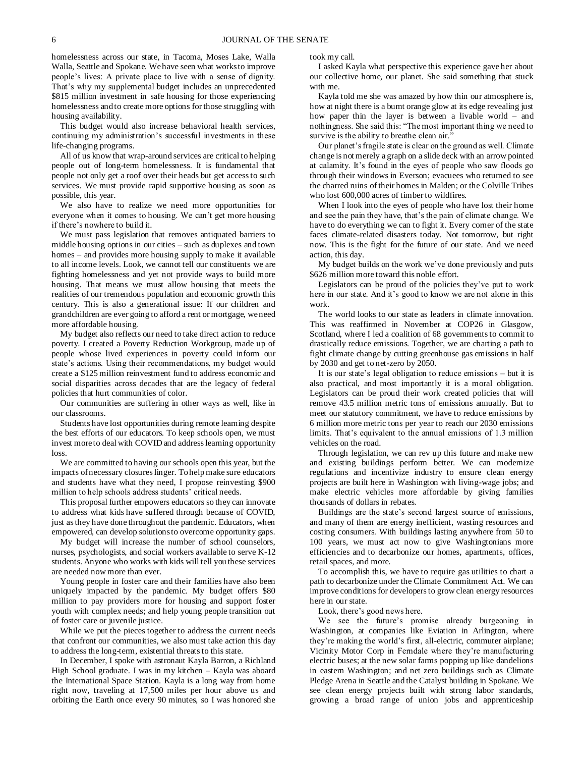homelessness across our state, in Tacoma, Moses Lake, Walla Walla, Seattle and Spokane. We have seen what works to improve people's lives: A private place to live with a sense of dignity. That's why my supplemental budget includes an unprecedented \$815 million investment in safe housing for those experiencing homelessness and to create more options for those struggling with housing availability.

This budget would also increase behavioral health services, continuing my administration's successful investments in these life-changing programs.

All of us know that wrap-around services are critical to helping people out of long-term homelessness. It is fundamental that people not only get a roof over their heads but get access to such services. We must provide rapid supportive housing as soon as possible, this year.

We also have to realize we need more opportunities for everyone when it comes to housing. We can't get more housing if there's nowhere to build it.

We must pass legislation that removes antiquated barriers to middle housing options in our cities – such as duplexes and town homes – and provides more housing supply to make it available to all income levels. Look, we cannot tell our constituents we are fighting homelessness and yet not provide ways to build more housing. That means we must allow housing that meets the realities of our tremendous population and economic growth this century. This is also a generational issue: If our children and grandchildren are ever going to afford a rent or mortgage, we need more affordable housing.

My budget also reflects our need to take direct action to reduce poverty. I created a Poverty Reduction Workgroup, made up of people whose lived experiences in poverty could inform our state's actions. Using their recommendations, my budget would create a \$125 million reinvestment fund to address economic and social disparities across decades that are the legacy of federal policies that hurt communities of color.

Our communities are suffering in other ways as well, like in our classrooms.

Students have lost opportunities during remote learning despite the best efforts of our educators. To keep schools open, we must invest more to deal with COVID and address learning opportunity loss.

We are committed to having our schools open this year, but the impacts of necessary closures linger. To help make sure educators and students have what they need, I propose reinvesting \$900 million to help schools address students' critical needs.

This proposal further empowers educators so they can innovate to address what kids have suffered through because of COVID, just as they have done throughout the pandemic. Educators, when empowered, can develop solutions to overcome opportunity gaps.

My budget will increase the number of school counselors, nurses, psychologists, and social workers available to serve K-12 students. Anyone who works with kids will tell you these services are needed now more than ever.

Young people in foster care and their families have also been uniquely impacted by the pandemic. My budget offers \$80 million to pay providers more for housing and support foster youth with complex needs; and help young people transition out of foster care or juvenile justice.

While we put the pieces together to address the current needs that confront our communities, we also must take action this day to address the long-term, existential threats to this state.

In December, I spoke with astronaut Kayla Barron, a Richland High School graduate. I was in my kitchen – Kayla was aboard the International Space Station. Kayla is a long way from home right now, traveling at 17,500 miles per hour above us and orbiting the Earth once every 90 minutes, so I was honored she took my call.

I asked Kayla what perspective this experience gave her about our collective home, our planet. She said something that stuck with me.

Kayla told me she was amazed by how thin our atmosphere is, how at night there is a burnt orange glow at its edge revealing just how paper thin the layer is between a livable world – and nothingness. She said this: "The most important thing we need to survive is the ability to breathe clean air.'

Our planet's fragile state is clear on the ground as well. Climate change is not merely a graph on a slide deck with an arrow pointed at calamity. It's found in the eyes of people who saw floods go through their windows in Everson; evacuees who returned to see the charred ruins of their homes in Malden; or the Colville Tribes who lost 600,000 acres of timber to wildfires.

When I look into the eyes of people who have lost their home and see the pain they have, that's the pain of climate change. We have to do everything we can to fight it. Every corner of the state faces climate-related disasters today. Not tomorrow, but right now. This is the fight for the future of our state. And we need action, this day.

My budget builds on the work we've done previously and puts \$626 million more toward this noble effort.

Legislators can be proud of the policies they've put to work here in our state. And it's good to know we are not alone in this work.

The world looks to our state as leaders in climate innovation. This was reaffirmed in November at COP26 in Glasgow, Scotland, where I led a coalition of 68 governments to commit to drastically reduce emissions. Together, we are charting a path to fight climate change by cutting greenhouse gas emissions in half by 2030 and get to net-zero by 2050.

It is our state's legal obligation to reduce emissions – but it is also practical, and most importantly it is a moral obligation. Legislators can be proud their work created policies that will remove 43.5 million metric tons of emissions annually. But to meet our statutory commitment, we have to reduce emissions by 6 million more metric tons per year to reach our 2030 emissions limits. That's equivalent to the annual emissions of 1.3 million vehicles on the road.

Through legislation, we can rev up this future and make new and existing buildings perform better. We can modernize regulations and incentivize industry to ensure clean energy projects are built here in Washington with living-wage jobs; and make electric vehicles more affordable by giving families thousands of dollars in rebates.

Buildings are the state's second largest source of emissions, and many of them are energy inefficient, wasting resources and costing consumers. With buildings lasting anywhere from 50 to 100 years, we must act now to give Washingtonians more efficiencies and to decarbonize our homes, apartments, offices, retail spaces, and more.

To accomplish this, we have to require gas utilities to chart a path to decarbonize under the Climate Commitment Act. We can improve conditions for developers to grow clean energy resources here in our state.

Look, there's good news here.

We see the future's promise already burgeoning in Washington, at companies like Eviation in Arlington, where they're making the world's first, all-electric, commuter airplane; Vicinity Motor Corp in Ferndale where they're manufacturing electric buses; at the new solar farms popping up like dandelions in eastern Washington; and net zero buildings such as Climate Pledge Arena in Seattle and the Catalyst building in Spokane. We see clean energy projects built with strong labor standards, growing a broad range of union jobs and apprenticeship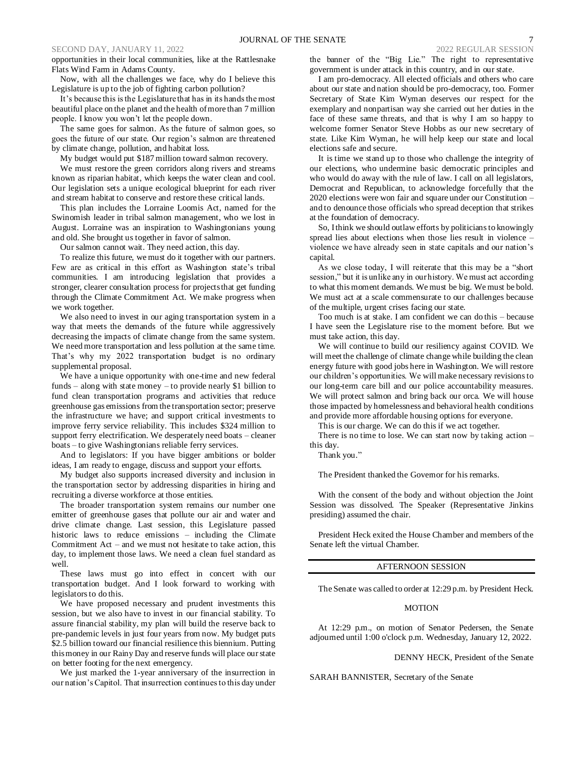## SECOND DAY, JANUARY 11, 2022 2022 REGULAR SESSION

opportunities in their local communities, like at the Rattlesnake Flats Wind Farm in Adams County.

Now, with all the challenges we face, why do I believe this Legislature is up to the job of fighting carbon pollution?

It's because this is the Legislature that has in its hands the most beautiful place on the planet and the health of more than 7 million people. I know you won't let the people down.

The same goes for salmon. As the future of salmon goes, so goes the future of our state. Our region's salmon are threatened by climate change, pollution, and habitat loss.

My budget would put \$187 million toward salmon recovery.

We must restore the green corridors along rivers and streams known as riparian habitat, which keeps the water clean and cool. Our legislation sets a unique ecological blueprint for each river and stream habitat to conserve and restore these critical lands.

This plan includes the Lorraine Loomis Act, named for the Swinomish leader in tribal salmon management, who we lost in August. Lorraine was an inspiration to Washingtonians young and old. She brought us together in favor of salmon.

Our salmon cannot wait. They need action, this day.

To realize this future, we must do it together with our partners. Few are as critical in this effort as Washington state's tribal communities. I am introducing legislation that provides a stronger, clearer consultation process for projects that get funding through the Climate Commitment Act. We make progress when we work together.

We also need to invest in our aging transportation system in a way that meets the demands of the future while aggressively decreasing the impacts of climate change from the same system. We need more transportation and less pollution at the same time. That's why my 2022 transportation budget is no ordinary supplemental proposal.

We have a unique opportunity with one-time and new federal funds – along with state money – to provide nearly \$1 billion to fund clean transportation programs and activities that reduce greenhouse gas emissions from the transportation sector; preserve the infrastructure we have; and support critical investments to improve ferry service reliability. This includes \$324 million to support ferry electrification. We desperately need boats – cleaner boats – to give Washingtonians reliable ferry services.

And to legislators: If you have bigger ambitions or bolder ideas, I am ready to engage, discuss and support your efforts.

My budget also supports increased diversity and inclusion in the transportation sector by addressing disparities in hiring and recruiting a diverse workforce at those entities.

The broader transportation system remains our number one emitter of greenhouse gases that pollute our air and water and drive climate change. Last session, this Legislature passed historic laws to reduce emissions – including the Climate Commitment Act – and we must not hesitate to take action, this day, to implement those laws. We need a clean fuel standard as well.

These laws must go into effect in concert with our transportation budget. And I look forward to working with legislators to do this.

We have proposed necessary and prudent investments this session, but we also have to invest in our financial stability. To assure financial stability, my plan will build the reserve back to pre-pandemic levels in just four years from now. My budget puts \$2.5 billion toward our financial resilience this biennium. Putting this money in our Rainy Day and reserve funds will place our state on better footing for the next emergency.

We just marked the 1-year anniversary of the insurrection in our nation's Capitol. That insurrection continues to this day under the banner of the "Big Lie." The right to representative government is under attack in this country, and in our state.

I am pro-democracy. All elected officials and others who care about our state and nation should be pro-democracy, too. Former Secretary of State Kim Wyman deserves our respect for the exemplary and nonpartisan way she carried out her duties in the face of these same threats, and that is why I am so happy to welcome former Senator Steve Hobbs as our new secretary of state. Like Kim Wyman, he will help keep our state and local elections safe and secure.

It is time we stand up to those who challenge the integrity of our elections, who undermine basic democratic principles and who would do away with the rule of law. I call on all legislators, Democrat and Republican, to acknowledge forcefully that the 2020 elections were won fair and square under our Constitution – and to denounce those officials who spread deception that strikes at the foundation of democracy.

So, I think we should outlaw efforts by politicians to knowingly spread lies about elections when those lies result in violence – violence we have already seen in state capitals and our nation's capital.

As we close today, I will reiterate that this may be a "short session," but it is unlike any in our history. We must act according to what this moment demands. We must be big. We must be bold. We must act at a scale commensurate to our challenges because of the multiple, urgent crises facing our state.

Too much is at stake. I am confident we can do this – because I have seen the Legislature rise to the moment before. But we must take action, this day.

We will continue to build our resiliency against COVID. We will meet the challenge of climate change while building the clean energy future with good jobs here in Washington. We will restore our children's opportunities. We will make necessary revisions to our long-term care bill and our police accountability measures. We will protect salmon and bring back our orca. We will house those impacted by homelessness and behavioral health conditions and provide more affordable housing options for everyone.

This is our charge. We can do this if we act together.

There is no time to lose. We can start now by taking action – this day.

Thank you."

The President thanked the Governor for his remarks.

With the consent of the body and without objection the Joint Session was dissolved. The Speaker (Representative Jinkins presiding) assumed the chair.

President Heck exited the House Chamber and members of the Senate left the virtual Chamber.

# AFTERNOON SESSION

The Senate was called to order at 12:29 p.m. by President Heck.

## MOTION

At 12:29 p.m., on motion of Senator Pedersen, the Senate adjourned until 1:00 o'clock p.m. Wednesday, January 12, 2022.

DENNY HECK, President of the Senate

SARAH BANNISTER, Secretary of the Senate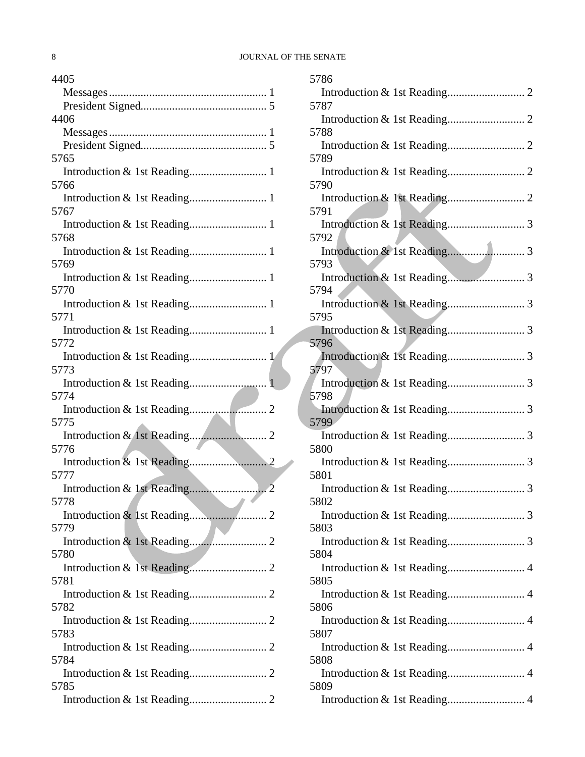| 4405                         |
|------------------------------|
|                              |
|                              |
| 4406                         |
|                              |
|                              |
| 5765                         |
|                              |
| 5766                         |
| 5767                         |
|                              |
| 5768                         |
|                              |
| 5769                         |
|                              |
| 5770                         |
|                              |
| 5771                         |
| Introduction & 1st Reading 1 |
| 5772                         |
|                              |
| 5773                         |
|                              |
| 5774                         |
| 5775                         |
|                              |
| 5776                         |
|                              |
| 5777                         |
|                              |
| 5778                         |
|                              |
| 5779                         |
|                              |
| 5780                         |
|                              |
| 5781                         |
|                              |
| 5782                         |
| 5783                         |
|                              |
| 5784                         |
|                              |
| 5785                         |
|                              |

| 5786 |
|------|
|      |
| 5787 |
| 5788 |
|      |
| 5789 |
| 5790 |
|      |
| 5791 |
|      |
| 5792 |
| 5793 |
|      |
| 5794 |
| 5795 |
|      |
| 5796 |
| 5797 |
|      |
| 5798 |
|      |
| 5799 |
| 5800 |
|      |
| 5801 |
| 5802 |
|      |
| 5803 |
| 5804 |
|      |
| 5805 |
|      |
| 5806 |
| 5807 |
|      |
| 5808 |
| 5809 |
|      |